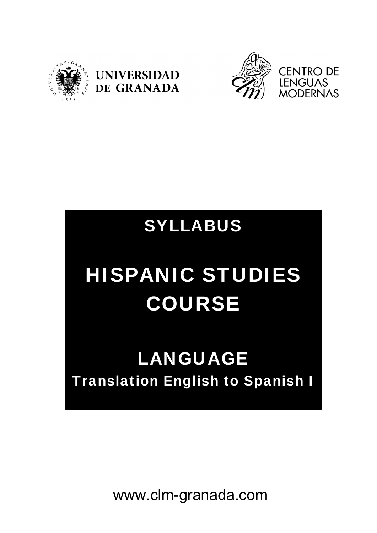





# SYLLABUS

# HISPANIC STUDIES COURSE

# LANGUAGE Translation English to Spanish I

www.clm-granada.com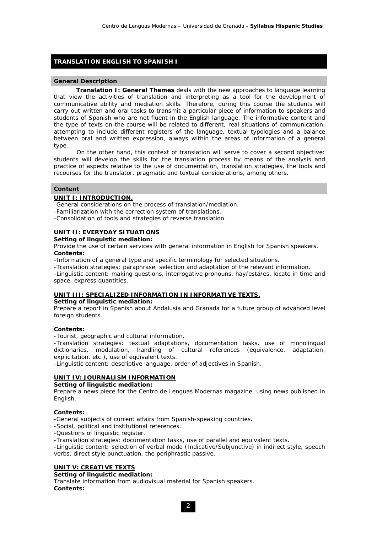# **TRANSLATION ENGLISH TO SPANISH I**

#### **General Description**

 **Translation I: General Themes** deals with the new approaches to language learning that view the activities of translation and interpreting as a tool for the development of communicative ability and mediation skills. Therefore, during this course the students will carry out written and oral tasks to transmit a particular piece of information to speakers and students of Spanish who are not fluent in the English language. The informative content and the type of texts on the course will be related to different, real situations of communication, attempting to include different registers of the language, textual typologies and a balance between oral and written expression, always within the areas of information of a general type.

On the other hand, this context of translation will serve to cover a second objective: students will develop the skills for the translation process by means of the analysis and practice of aspects relative to the use of documentation, translation strategies, the tools and recourses for the translator, pragmatic and textual considerations, among others.

# **Content**

# **UNIT I: INTRODUCTION.**

-General considerations on the process of translation/mediation.

-Familiarization with the correction system of translations.

-Consolidation of tools and strategies of reverse translation.

# **UNIT II: EVERYDAY SITUATIONS**

**Setting of linguistic mediation:** 

Provide the use of certain services with general information in English for Spanish speakers. **Contents:** 

-Information of a general type and specific terminology for selected situations.

-Translation strategies: paraphrase, selection and adaptation of the relevant information.

-Linguistic content: making questions, interrogative pronouns, *hay/está/es*, locate in time and space, express quantities.

# **UNIT III: SPECIALIZED INFORMATION IN INFORMATIVE TEXTS.**

#### **Setting of linguistic mediation:**

Prepare a report in Spanish about Andalusia and Granada for a future group of advanced level foreign students.

# **Contents:**

-Tourist, geographic and cultural information.

-Translation strategies: textual adaptations, documentation tasks, use of monolingual dictionaries, modulation, handling of cultural references (equivalence, adaptation, explicitation, etc.), use of equivalent texts.

-Linguistic content: descriptive language, order of adjectives in Spanish.

# **UNIT IV: JOURNALISM INFORMATION**

**Setting of linguistic mediation:** 

Prepare a news piece for the Centro de Lenguas Modernas magazine, using news published in English.

# **Contents:**

-General subjects of current affairs from Spanish-speaking countries.

-Social, political and institutional references.

-Questions of linguistic register.

-Translation strategies: documentation tasks, use of parallel and equivalent texts.

-Linguistic content: selection of verbal mode (Indicative/Subjunctive) in indirect style, speech verbs, direct style punctuation, the periphrastic passive.

# **UNIT V: CREATIVE TEXTS**

#### **Setting of linguistic mediation:**

Translate information from audiovisual material for Spanish speakers. **Contents:**